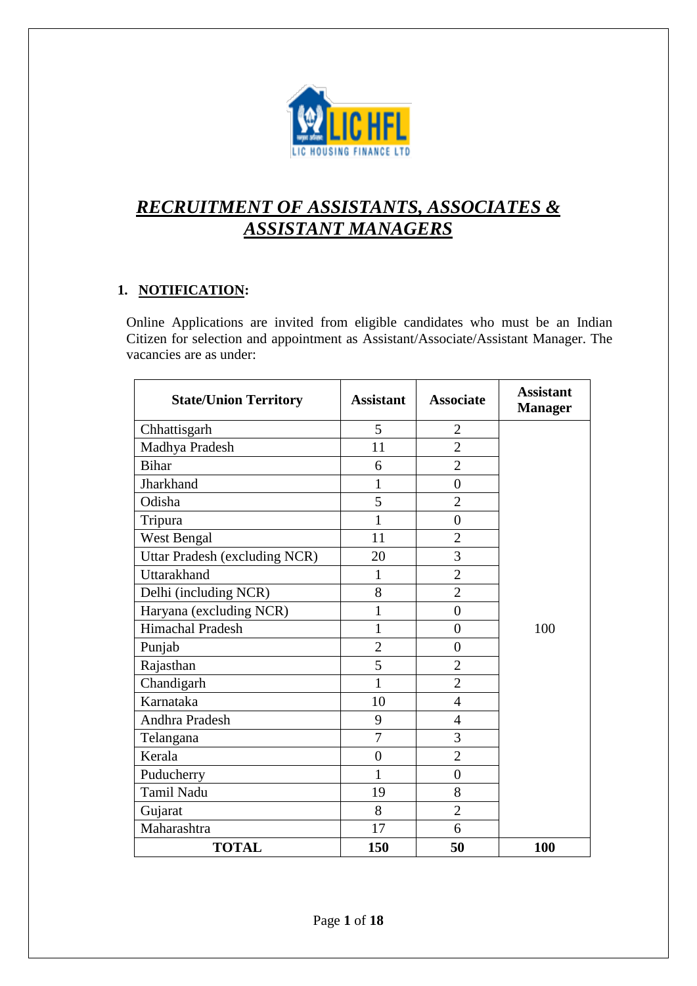

# *RECRUITMENT OF ASSISTANTS, ASSOCIATES & ASSISTANT MANAGERS*

# **1. NOTIFICATION:**

Online Applications are invited from eligible candidates who must be an Indian Citizen for selection and appointment as Assistant/Associate/Assistant Manager. The vacancies are as under:

| <b>State/Union Territory</b>  | <b>Assistant</b> | <b>Associate</b> | <b>Assistant</b><br><b>Manager</b> |
|-------------------------------|------------------|------------------|------------------------------------|
| Chhattisgarh                  | 5                | $\overline{2}$   |                                    |
| Madhya Pradesh                | 11               | $\overline{2}$   |                                    |
| <b>Bihar</b>                  | 6                | $\overline{2}$   |                                    |
| Jharkhand                     | 1                | $\overline{0}$   |                                    |
| Odisha                        | 5                | $\overline{2}$   |                                    |
| Tripura                       | $\mathbf{1}$     | $\overline{0}$   |                                    |
| West Bengal                   | 11               | $\overline{2}$   |                                    |
| Uttar Pradesh (excluding NCR) | 20               | 3                |                                    |
| <b>Uttarakhand</b>            | 1                | $\overline{2}$   |                                    |
| Delhi (including NCR)         | 8                | $\overline{2}$   |                                    |
| Haryana (excluding NCR)       | 1                | $\overline{0}$   |                                    |
| Himachal Pradesh              | 1                | $\overline{0}$   | 100                                |
| Punjab                        | $\overline{2}$   | $\overline{0}$   |                                    |
| Rajasthan                     | 5                | $\overline{2}$   |                                    |
| Chandigarh                    | $\mathbf{1}$     | $\overline{2}$   |                                    |
| Karnataka                     | 10               | 4                |                                    |
| Andhra Pradesh                | 9                | $\overline{4}$   |                                    |
| Telangana                     | 7                | 3                |                                    |
| Kerala                        | $\overline{0}$   | $\overline{2}$   |                                    |
| Puducherry                    | $\mathbf{1}$     | $\overline{0}$   |                                    |
| <b>Tamil Nadu</b>             | 19               | 8                |                                    |
| Gujarat                       | 8                | $\overline{2}$   |                                    |
| Maharashtra                   | 17               | 6                |                                    |
| <b>TOTAL</b>                  | 150              | 50               | 100                                |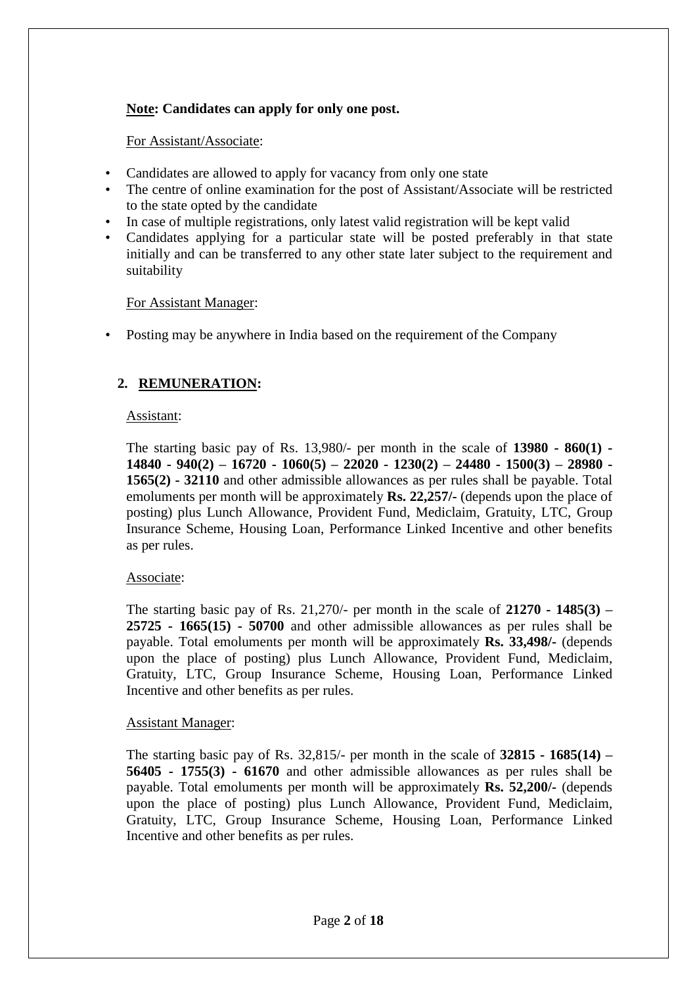### **Note: Candidates can apply for only one post.**

#### For Assistant/Associate:

- Candidates are allowed to apply for vacancy from only one state
- The centre of online examination for the post of Assistant/Associate will be restricted to the state opted by the candidate
- In case of multiple registrations, only latest valid registration will be kept valid
- Candidates applying for a particular state will be posted preferably in that state initially and can be transferred to any other state later subject to the requirement and suitability

#### For Assistant Manager:

• Posting may be anywhere in India based on the requirement of the Company

### **2. REMUNERATION:**

#### Assistant:

The starting basic pay of Rs. 13,980/- per month in the scale of **13980 - 860(1) - 14840 - 940(2) – 16720 - 1060(5) – 22020 - 1230(2) – 24480 - 1500(3) – 28980 - 1565(2) - 32110** and other admissible allowances as per rules shall be payable. Total emoluments per month will be approximately **Rs. 22,257/-** (depends upon the place of posting) plus Lunch Allowance, Provident Fund, Mediclaim, Gratuity, LTC, Group Insurance Scheme, Housing Loan, Performance Linked Incentive and other benefits as per rules.

#### Associate:

The starting basic pay of Rs. 21,270/- per month in the scale of **21270 - 1485(3) – 25725 - 1665(15) - 50700** and other admissible allowances as per rules shall be payable. Total emoluments per month will be approximately **Rs. 33,498/-** (depends upon the place of posting) plus Lunch Allowance, Provident Fund, Mediclaim, Gratuity, LTC, Group Insurance Scheme, Housing Loan, Performance Linked Incentive and other benefits as per rules.

#### Assistant Manager:

The starting basic pay of Rs. 32,815/- per month in the scale of **32815 - 1685(14) – 56405 - 1755(3) - 61670** and other admissible allowances as per rules shall be payable. Total emoluments per month will be approximately **Rs. 52,200/-** (depends upon the place of posting) plus Lunch Allowance, Provident Fund, Mediclaim, Gratuity, LTC, Group Insurance Scheme, Housing Loan, Performance Linked Incentive and other benefits as per rules.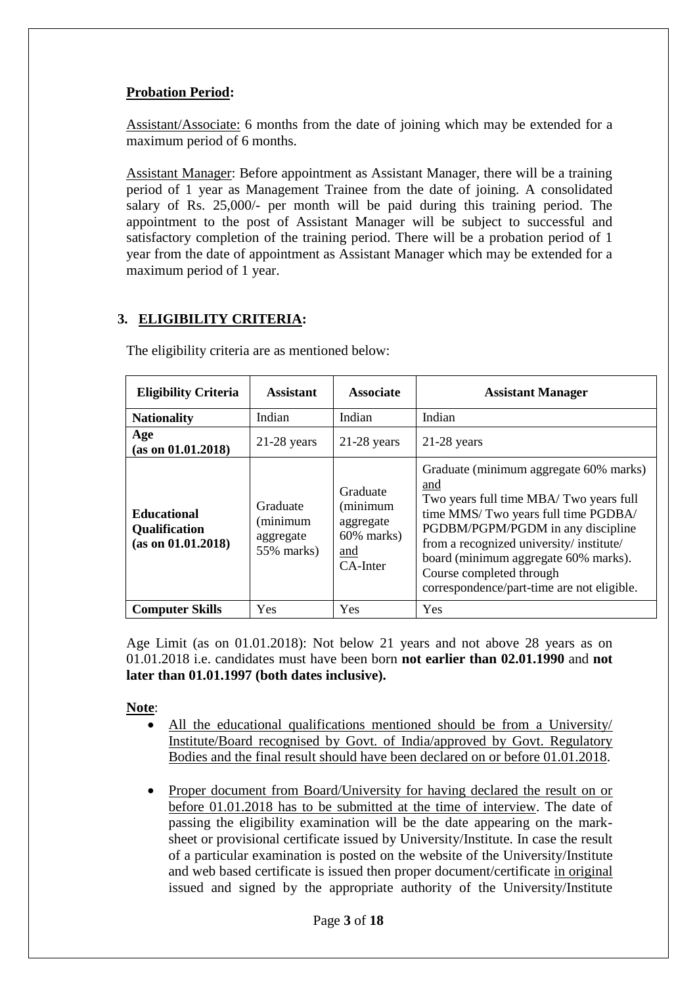### **Probation Period:**

Assistant/Associate: 6 months from the date of joining which may be extended for a maximum period of 6 months.

Assistant Manager: Before appointment as Assistant Manager, there will be a training period of 1 year as Management Trainee from the date of joining. A consolidated salary of Rs. 25,000/- per month will be paid during this training period. The appointment to the post of Assistant Manager will be subject to successful and satisfactory completion of the training period. There will be a probation period of 1 year from the date of appointment as Assistant Manager which may be extended for a maximum period of 1 year.

# **3. ELIGIBILITY CRITERIA:**

| <b>Eligibility Criteria</b>                                      | <b>Assistant</b>                                | <b>Associate</b>                                                      | <b>Assistant Manager</b>                                                                                                                                                                                                                                                                                                         |
|------------------------------------------------------------------|-------------------------------------------------|-----------------------------------------------------------------------|----------------------------------------------------------------------------------------------------------------------------------------------------------------------------------------------------------------------------------------------------------------------------------------------------------------------------------|
| <b>Nationality</b>                                               | Indian                                          | Indian                                                                | Indian                                                                                                                                                                                                                                                                                                                           |
| Age<br>(as on 01.01.2018)                                        | $21-28$ years                                   | $21-28$ years                                                         | $21-28$ years                                                                                                                                                                                                                                                                                                                    |
| <b>Educational</b><br><b>Qualification</b><br>(as on 01.01.2018) | Graduate<br>(minimum<br>aggregate<br>55% marks) | Graduate<br>(minimum<br>aggregate<br>60% marks)<br>and<br>$CA$ -Inter | Graduate (minimum aggregate 60% marks)<br>and<br>Two years full time MBA/Two years full<br>time MMS/Two years full time PGDBA/<br>PGDBM/PGPM/PGDM in any discipline<br>from a recognized university/institute/<br>board (minimum aggregate 60% marks).<br>Course completed through<br>correspondence/part-time are not eligible. |
| <b>Computer Skills</b>                                           | Yes                                             | Yes                                                                   | Yes                                                                                                                                                                                                                                                                                                                              |

The eligibility criteria are as mentioned below:

Age Limit (as on 01.01.2018): Not below 21 years and not above 28 years as on 01.01.2018 i.e. candidates must have been born **not earlier than 02.01.1990** and **not later than 01.01.1997 (both dates inclusive).**

### **Note**:

- All the educational qualifications mentioned should be from a University/ Institute/Board recognised by Govt. of India/approved by Govt. Regulatory Bodies and the final result should have been declared on or before 01.01.2018.
- Proper document from Board/University for having declared the result on or before 01.01.2018 has to be submitted at the time of interview. The date of passing the eligibility examination will be the date appearing on the marksheet or provisional certificate issued by University/Institute. In case the result of a particular examination is posted on the website of the University/Institute and web based certificate is issued then proper document/certificate in original issued and signed by the appropriate authority of the University/Institute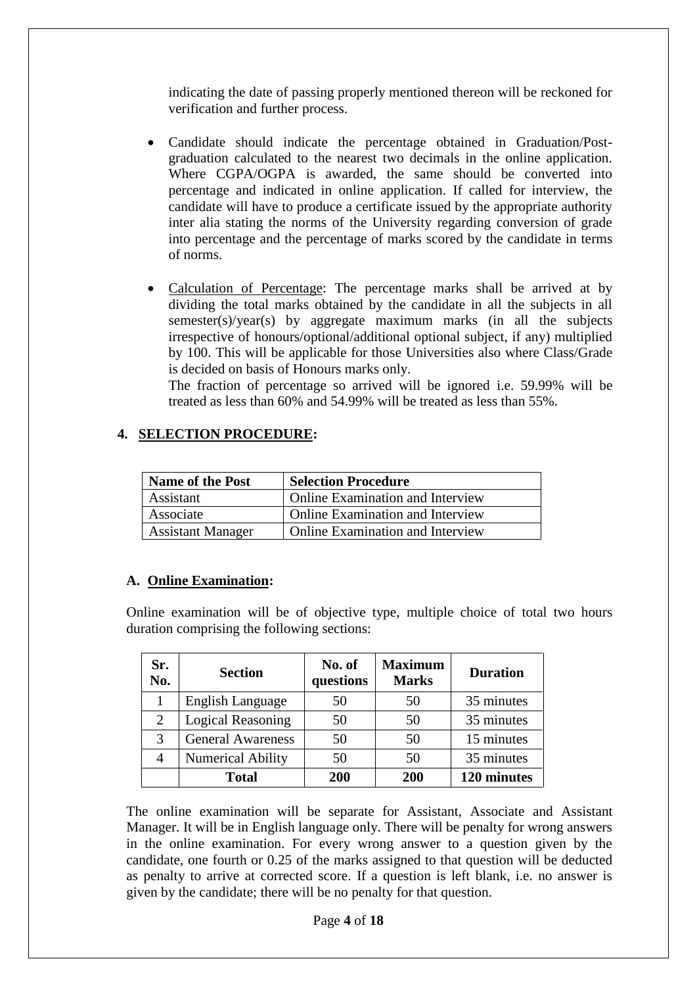indicating the date of passing properly mentioned thereon will be reckoned for verification and further process.

- Candidate should indicate the percentage obtained in Graduation/Postgraduation calculated to the nearest two decimals in the online application. Where CGPA/OGPA is awarded, the same should be converted into percentage and indicated in online application. If called for interview, the candidate will have to produce a certificate issued by the appropriate authority inter alia stating the norms of the University regarding conversion of grade into percentage and the percentage of marks scored by the candidate in terms of norms.
- Calculation of Percentage: The percentage marks shall be arrived at by dividing the total marks obtained by the candidate in all the subjects in all semester(s)/year(s) by aggregate maximum marks (in all the subjects irrespective of honours/optional/additional optional subject, if any) multiplied by 100. This will be applicable for those Universities also where Class/Grade is decided on basis of Honours marks only.

The fraction of percentage so arrived will be ignored i.e. 59.99% will be treated as less than 60% and 54.99% will be treated as less than 55%.

### **4. SELECTION PROCEDURE:**

| <b>Name of the Post</b>  | <b>Selection Procedure</b>              |
|--------------------------|-----------------------------------------|
| Assistant                | <b>Online Examination and Interview</b> |
| Associate                | <b>Online Examination and Interview</b> |
| <b>Assistant Manager</b> | <b>Online Examination and Interview</b> |

### **A. Online Examination:**

Online examination will be of objective type, multiple choice of total two hours duration comprising the following sections:

| Sr.<br>No. | <b>Section</b>           | No. of<br>questions | <b>Maximum</b><br><b>Marks</b> | <b>Duration</b> |
|------------|--------------------------|---------------------|--------------------------------|-----------------|
|            | <b>English Language</b>  | 50                  | 50                             | 35 minutes      |
| 2          | <b>Logical Reasoning</b> | 50                  | 50                             | 35 minutes      |
| 3          | <b>General Awareness</b> | 50                  | 50                             | 15 minutes      |
| 4          | <b>Numerical Ability</b> | 50                  | 50                             | 35 minutes      |
|            | <b>Total</b>             | 200                 | 200                            | 120 minutes     |

The online examination will be separate for Assistant, Associate and Assistant Manager. It will be in English language only. There will be penalty for wrong answers in the online examination. For every wrong answer to a question given by the candidate, one fourth or 0.25 of the marks assigned to that question will be deducted as penalty to arrive at corrected score. If a question is left blank, i.e. no answer is given by the candidate; there will be no penalty for that question.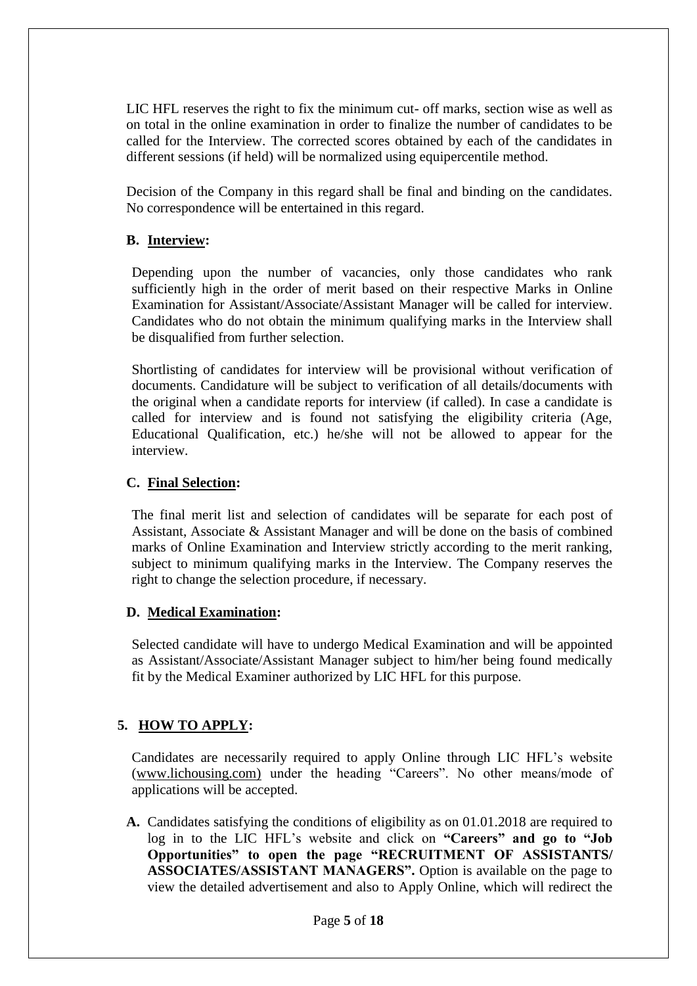LIC HFL reserves the right to fix the minimum cut- off marks, section wise as well as on total in the online examination in order to finalize the number of candidates to be called for the Interview. The corrected scores obtained by each of the candidates in different sessions (if held) will be normalized using equipercentile method.

Decision of the Company in this regard shall be final and binding on the candidates. No correspondence will be entertained in this regard.

### **B. Interview:**

Depending upon the number of vacancies, only those candidates who rank sufficiently high in the order of merit based on their respective Marks in Online Examination for Assistant/Associate/Assistant Manager will be called for interview. Candidates who do not obtain the minimum qualifying marks in the Interview shall be disqualified from further selection.

Shortlisting of candidates for interview will be provisional without verification of documents. Candidature will be subject to verification of all details/documents with the original when a candidate reports for interview (if called). In case a candidate is called for interview and is found not satisfying the eligibility criteria (Age, Educational Qualification, etc.) he/she will not be allowed to appear for the interview.

### **C. Final Selection:**

The final merit list and selection of candidates will be separate for each post of Assistant, Associate & Assistant Manager and will be done on the basis of combined marks of Online Examination and Interview strictly according to the merit ranking, subject to minimum qualifying marks in the Interview. The Company reserves the right to change the selection procedure, if necessary.

### **D. Medical Examination:**

Selected candidate will have to undergo Medical Examination and will be appointed as Assistant/Associate/Assistant Manager subject to him/her being found medically fit by the Medical Examiner authorized by LIC HFL for this purpose.

### **5. HOW TO APPLY:**

Candidates are necessarily required to apply Online through LIC HFL's website (www.lichousing.com) under the heading "Careers". No other means/mode of applications will be accepted.

**A.** Candidates satisfying the conditions of eligibility as on 01.01.2018 are required to log in to the LIC HFL's website and click on **"Careers" and go to "Job Opportunities" to open the page "RECRUITMENT OF ASSISTANTS/ ASSOCIATES/ASSISTANT MANAGERS".** Option is available on the page to view the detailed advertisement and also to Apply Online, which will redirect the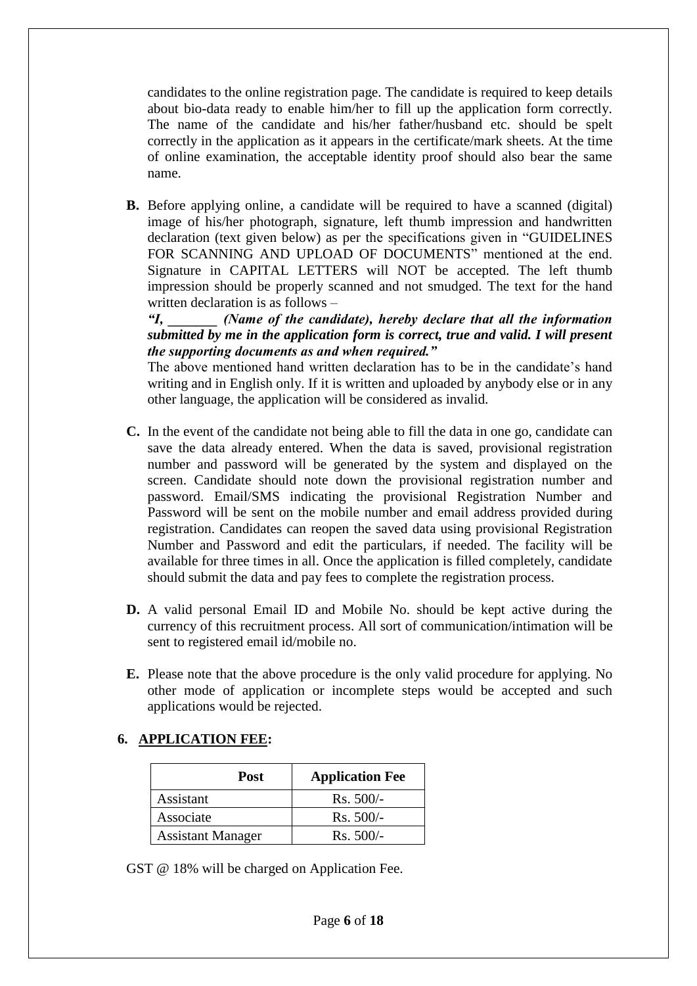candidates to the online registration page. The candidate is required to keep details about bio-data ready to enable him/her to fill up the application form correctly. The name of the candidate and his/her father/husband etc. should be spelt correctly in the application as it appears in the certificate/mark sheets. At the time of online examination, the acceptable identity proof should also bear the same name.

**B.** Before applying online, a candidate will be required to have a scanned (digital) image of his/her photograph, signature, left thumb impression and handwritten declaration (text given below) as per the specifications given in "GUIDELINES FOR SCANNING AND UPLOAD OF DOCUMENTS" mentioned at the end. Signature in CAPITAL LETTERS will NOT be accepted. The left thumb impression should be properly scanned and not smudged. The text for the hand written declaration is as follows –

*"I, \_\_\_\_\_\_\_ (Name of the candidate), hereby declare that all the information submitted by me in the application form is correct, true and valid. I will present the supporting documents as and when required."* 

The above mentioned hand written declaration has to be in the candidate's hand writing and in English only. If it is written and uploaded by anybody else or in any other language, the application will be considered as invalid.

- **C.** In the event of the candidate not being able to fill the data in one go, candidate can save the data already entered. When the data is saved, provisional registration number and password will be generated by the system and displayed on the screen. Candidate should note down the provisional registration number and password. Email/SMS indicating the provisional Registration Number and Password will be sent on the mobile number and email address provided during registration. Candidates can reopen the saved data using provisional Registration Number and Password and edit the particulars, if needed. The facility will be available for three times in all. Once the application is filled completely, candidate should submit the data and pay fees to complete the registration process.
- **D.** A valid personal Email ID and Mobile No. should be kept active during the currency of this recruitment process. All sort of communication/intimation will be sent to registered email id/mobile no.
- **E.** Please note that the above procedure is the only valid procedure for applying. No other mode of application or incomplete steps would be accepted and such applications would be rejected.

### **6. APPLICATION FEE:**

| Post                     | <b>Application Fee</b> |
|--------------------------|------------------------|
| Assistant                | $Rs. 500/-$            |
| Associate                | $Rs. 500/-$            |
| <b>Assistant Manager</b> | $Rs. 500/-$            |

GST @ 18% will be charged on Application Fee.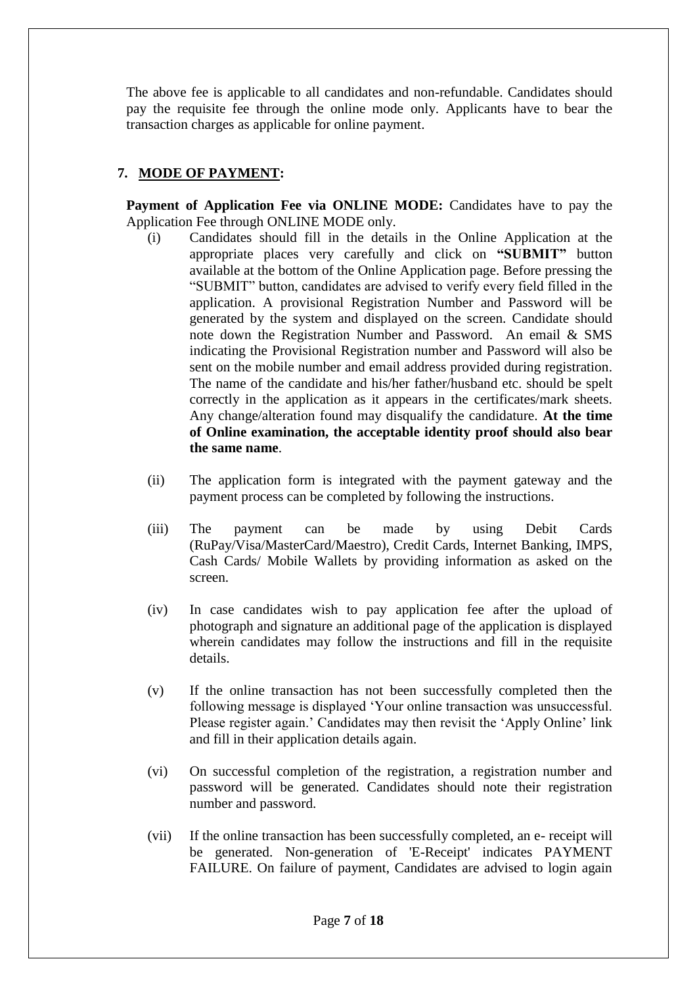The above fee is applicable to all candidates and non-refundable. Candidates should pay the requisite fee through the online mode only. Applicants have to bear the transaction charges as applicable for online payment.

# **7. MODE OF PAYMENT:**

**Payment of Application Fee via ONLINE MODE:** Candidates have to pay the Application Fee through ONLINE MODE only.

- (i) Candidates should fill in the details in the Online Application at the appropriate places very carefully and click on **"SUBMIT"** button available at the bottom of the Online Application page. Before pressing the "SUBMIT" button, candidates are advised to verify every field filled in the application. A provisional Registration Number and Password will be generated by the system and displayed on the screen. Candidate should note down the Registration Number and Password. An email & SMS indicating the Provisional Registration number and Password will also be sent on the mobile number and email address provided during registration. The name of the candidate and his/her father/husband etc. should be spelt correctly in the application as it appears in the certificates/mark sheets. Any change/alteration found may disqualify the candidature. **At the time of Online examination, the acceptable identity proof should also bear the same name**.
- (ii) The application form is integrated with the payment gateway and the payment process can be completed by following the instructions.
- (iii) The payment can be made by using Debit Cards (RuPay/Visa/MasterCard/Maestro), Credit Cards, Internet Banking, IMPS, Cash Cards/ Mobile Wallets by providing information as asked on the screen.
- (iv) In case candidates wish to pay application fee after the upload of photograph and signature an additional page of the application is displayed wherein candidates may follow the instructions and fill in the requisite details.
- (v) If the online transaction has not been successfully completed then the following message is displayed 'Your online transaction was unsuccessful. Please register again.' Candidates may then revisit the 'Apply Online' link and fill in their application details again.
- (vi) On successful completion of the registration, a registration number and password will be generated. Candidates should note their registration number and password.
- (vii) If the online transaction has been successfully completed, an e- receipt will be generated. Non-generation of 'E-Receipt' indicates PAYMENT FAILURE. On failure of payment, Candidates are advised to login again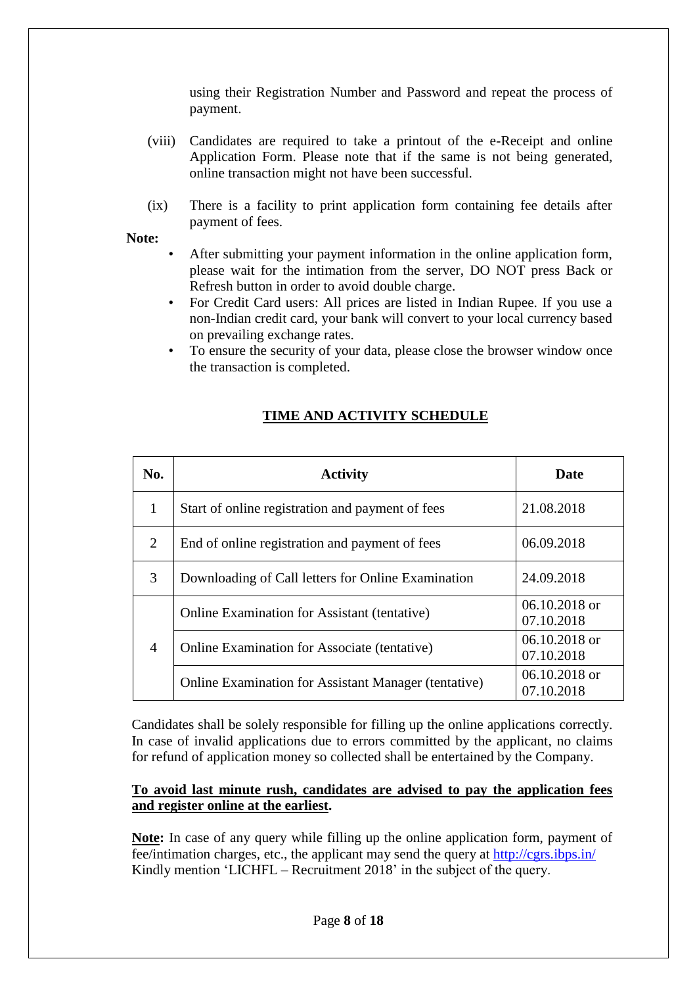using their Registration Number and Password and repeat the process of payment.

- (viii) Candidates are required to take a printout of the e-Receipt and online Application Form. Please note that if the same is not being generated, online transaction might not have been successful.
- (ix) There is a facility to print application form containing fee details after payment of fees.

#### **Note:**

- After submitting your payment information in the online application form, please wait for the intimation from the server, DO NOT press Back or Refresh button in order to avoid double charge.
- For Credit Card users: All prices are listed in Indian Rupee. If you use a non-Indian credit card, your bank will convert to your local currency based on prevailing exchange rates.
- To ensure the security of your data, please close the browser window once the transaction is completed.

| No.            | <b>Activity</b>                                             | Date                          |
|----------------|-------------------------------------------------------------|-------------------------------|
| 1              | Start of online registration and payment of fees            | 21.08.2018                    |
| 2              | End of online registration and payment of fees              | 06.09.2018                    |
| 3              | Downloading of Call letters for Online Examination          | 24.09.2018                    |
|                | <b>Online Examination for Assistant (tentative)</b>         | $06.10.2018$ or<br>07.10.2018 |
| $\overline{4}$ | <b>Online Examination for Associate (tentative)</b>         | 06.10.2018 or<br>07.10.2018   |
|                | <b>Online Examination for Assistant Manager (tentative)</b> | $06.10.2018$ or<br>07.10.2018 |

# **TIME AND ACTIVITY SCHEDULE**

Candidates shall be solely responsible for filling up the online applications correctly. In case of invalid applications due to errors committed by the applicant, no claims for refund of application money so collected shall be entertained by the Company.

#### **To avoid last minute rush, candidates are advised to pay the application fees and register online at the earliest.**

**Note:** In case of any query while filling up the online application form, payment of fee/intimation charges, etc., the applicant may send the query at<http://cgrs.ibps.in/> Kindly mention 'LICHFL – Recruitment 2018' in the subject of the query.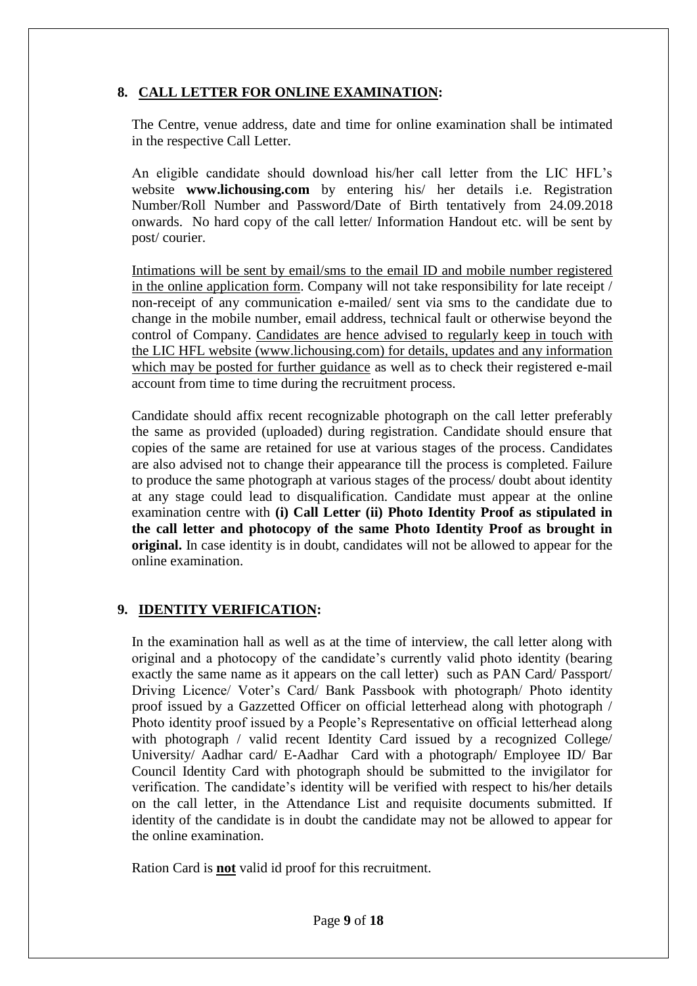# **8. CALL LETTER FOR ONLINE EXAMINATION:**

The Centre, venue address, date and time for online examination shall be intimated in the respective Call Letter.

An eligible candidate should download his/her call letter from the LIC HFL's website **www.lichousing.com** by entering his/ her details i.e. Registration Number/Roll Number and Password/Date of Birth tentatively from 24.09.2018 onwards. No hard copy of the call letter/ Information Handout etc. will be sent by post/ courier.

Intimations will be sent by email/sms to the email ID and mobile number registered in the online application form. Company will not take responsibility for late receipt / non-receipt of any communication e-mailed/ sent via sms to the candidate due to change in the mobile number, email address, technical fault or otherwise beyond the control of Company. Candidates are hence advised to regularly keep in touch with the LIC HFL website (www.lichousing.com) for details, updates and any information which may be posted for further guidance as well as to check their registered e-mail account from time to time during the recruitment process.

Candidate should affix recent recognizable photograph on the call letter preferably the same as provided (uploaded) during registration. Candidate should ensure that copies of the same are retained for use at various stages of the process. Candidates are also advised not to change their appearance till the process is completed. Failure to produce the same photograph at various stages of the process/ doubt about identity at any stage could lead to disqualification. Candidate must appear at the online examination centre with **(i) Call Letter (ii) Photo Identity Proof as stipulated in the call letter and photocopy of the same Photo Identity Proof as brought in original.** In case identity is in doubt, candidates will not be allowed to appear for the online examination.

# **9. IDENTITY VERIFICATION:**

In the examination hall as well as at the time of interview, the call letter along with original and a photocopy of the candidate's currently valid photo identity (bearing exactly the same name as it appears on the call letter) such as PAN Card/ Passport/ Driving Licence/ Voter's Card/ Bank Passbook with photograph/ Photo identity proof issued by a Gazzetted Officer on official letterhead along with photograph / Photo identity proof issued by a People's Representative on official letterhead along with photograph / valid recent Identity Card issued by a recognized College/ University/ Aadhar card/ E-Aadhar Card with a photograph/ Employee ID/ Bar Council Identity Card with photograph should be submitted to the invigilator for verification. The candidate's identity will be verified with respect to his/her details on the call letter, in the Attendance List and requisite documents submitted. If identity of the candidate is in doubt the candidate may not be allowed to appear for the online examination.

Ration Card is **not** valid id proof for this recruitment.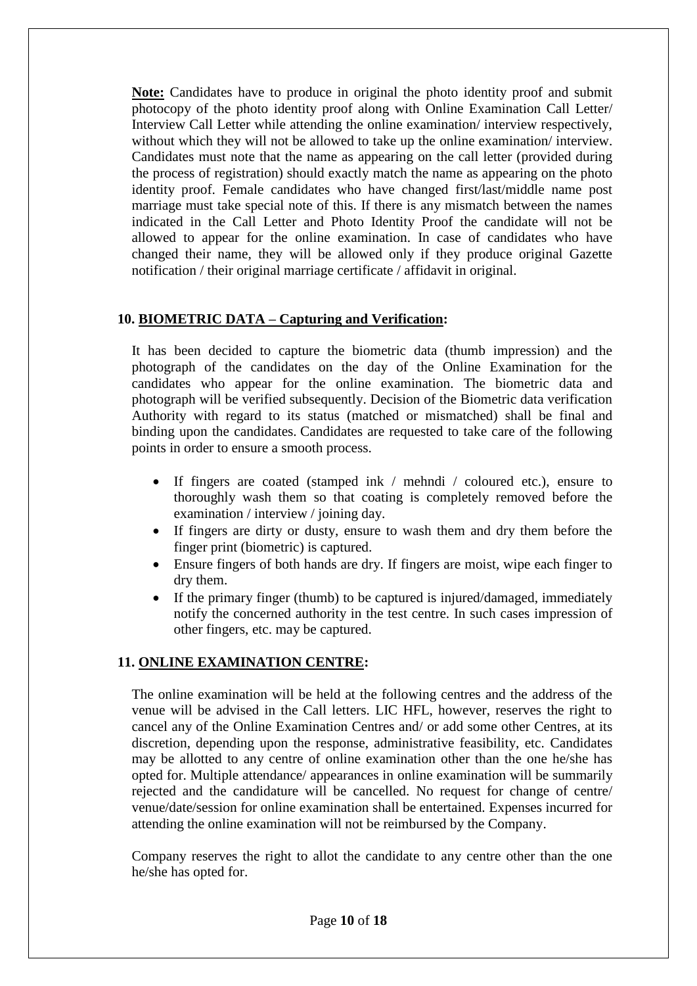**Note:** Candidates have to produce in original the photo identity proof and submit photocopy of the photo identity proof along with Online Examination Call Letter/ Interview Call Letter while attending the online examination/ interview respectively, without which they will not be allowed to take up the online examination/ interview. Candidates must note that the name as appearing on the call letter (provided during the process of registration) should exactly match the name as appearing on the photo identity proof. Female candidates who have changed first/last/middle name post marriage must take special note of this. If there is any mismatch between the names indicated in the Call Letter and Photo Identity Proof the candidate will not be allowed to appear for the online examination. In case of candidates who have changed their name, they will be allowed only if they produce original Gazette notification / their original marriage certificate / affidavit in original.

### **10. BIOMETRIC DATA – Capturing and Verification:**

It has been decided to capture the biometric data (thumb impression) and the photograph of the candidates on the day of the Online Examination for the candidates who appear for the online examination. The biometric data and photograph will be verified subsequently. Decision of the Biometric data verification Authority with regard to its status (matched or mismatched) shall be final and binding upon the candidates. Candidates are requested to take care of the following points in order to ensure a smooth process.

- If fingers are coated (stamped ink / mehndi / coloured etc.), ensure to thoroughly wash them so that coating is completely removed before the examination / interview / joining day.
- If fingers are dirty or dusty, ensure to wash them and dry them before the finger print (biometric) is captured.
- Ensure fingers of both hands are dry. If fingers are moist, wipe each finger to dry them.
- If the primary finger (thumb) to be captured is injured/damaged, immediately notify the concerned authority in the test centre. In such cases impression of other fingers, etc. may be captured.

### **11. ONLINE EXAMINATION CENTRE:**

The online examination will be held at the following centres and the address of the venue will be advised in the Call letters. LIC HFL, however, reserves the right to cancel any of the Online Examination Centres and/ or add some other Centres, at its discretion, depending upon the response, administrative feasibility, etc. Candidates may be allotted to any centre of online examination other than the one he/she has opted for. Multiple attendance/ appearances in online examination will be summarily rejected and the candidature will be cancelled. No request for change of centre/ venue/date/session for online examination shall be entertained. Expenses incurred for attending the online examination will not be reimbursed by the Company.

Company reserves the right to allot the candidate to any centre other than the one he/she has opted for.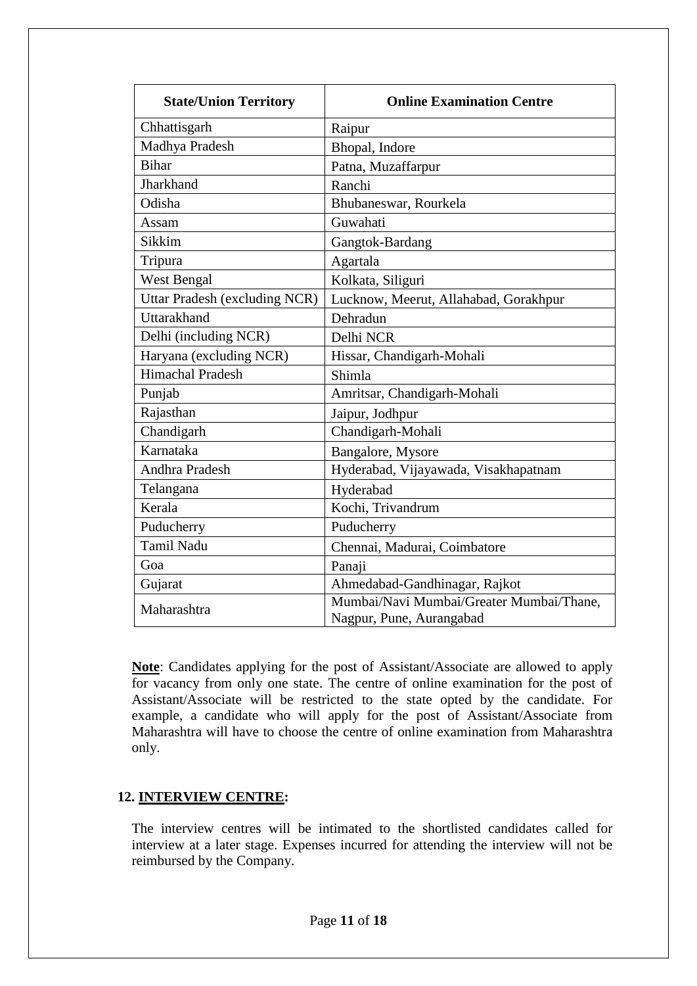| <b>State/Union Territory</b>         | <b>Online Examination Centre</b>                                     |
|--------------------------------------|----------------------------------------------------------------------|
| Chhattisgarh                         | Raipur                                                               |
| Madhya Pradesh                       | Bhopal, Indore                                                       |
| <b>Bihar</b>                         | Patna, Muzaffarpur                                                   |
| Jharkhand                            | Ranchi                                                               |
| Odisha                               | Bhubaneswar, Rourkela                                                |
| Assam                                | Guwahati                                                             |
| Sikkim                               | Gangtok-Bardang                                                      |
| Tripura                              | Agartala                                                             |
| West Bengal                          | Kolkata, Siliguri                                                    |
| <b>Uttar Pradesh (excluding NCR)</b> | Lucknow, Meerut, Allahabad, Gorakhpur                                |
| Uttarakhand                          | Dehradun                                                             |
| Delhi (including NCR)                | Delhi NCR                                                            |
| Haryana (excluding NCR)              | Hissar, Chandigarh-Mohali                                            |
| <b>Himachal Pradesh</b>              | Shimla                                                               |
| Punjab                               | Amritsar, Chandigarh-Mohali                                          |
| Rajasthan                            | Jaipur, Jodhpur                                                      |
| Chandigarh                           | Chandigarh-Mohali                                                    |
| Karnataka                            | Bangalore, Mysore                                                    |
| <b>Andhra Pradesh</b>                | Hyderabad, Vijayawada, Visakhapatnam                                 |
| Telangana                            | Hyderabad                                                            |
| Kerala                               | Kochi, Trivandrum                                                    |
| Puducherry                           | Puducherry                                                           |
| <b>Tamil Nadu</b>                    | Chennai, Madurai, Coimbatore                                         |
| Goa                                  | Panaji                                                               |
| Gujarat                              | Ahmedabad-Gandhinagar, Rajkot                                        |
| Maharashtra                          | Mumbai/Navi Mumbai/Greater Mumbai/Thane,<br>Nagpur, Pune, Aurangabad |

**Note**: Candidates applying for the post of Assistant/Associate are allowed to apply for vacancy from only one state. The centre of online examination for the post of Assistant/Associate will be restricted to the state opted by the candidate. For example, a candidate who will apply for the post of Assistant/Associate from Maharashtra will have to choose the centre of online examination from Maharashtra only.

### **12. INTERVIEW CENTRE:**

The interview centres will be intimated to the shortlisted candidates called for interview at a later stage. Expenses incurred for attending the interview will not be reimbursed by the Company.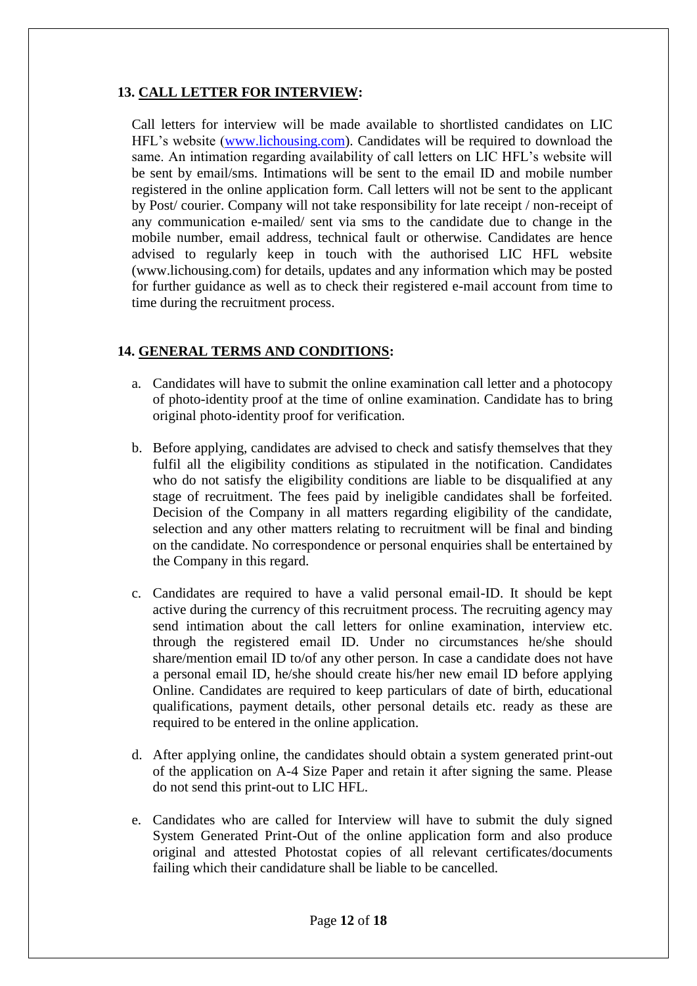# **13. CALL LETTER FOR INTERVIEW:**

Call letters for interview will be made available to shortlisted candidates on LIC HFL's website [\(www.lichousing.com\)](http://www.lichousing.com/). Candidates will be required to download the same. An intimation regarding availability of call letters on LIC HFL's website will be sent by email/sms. Intimations will be sent to the email ID and mobile number registered in the online application form. Call letters will not be sent to the applicant by Post/ courier. Company will not take responsibility for late receipt / non-receipt of any communication e-mailed/ sent via sms to the candidate due to change in the mobile number, email address, technical fault or otherwise. Candidates are hence advised to regularly keep in touch with the authorised LIC HFL website (www.lichousing.com) for details, updates and any information which may be posted for further guidance as well as to check their registered e-mail account from time to time during the recruitment process.

### **14. GENERAL TERMS AND CONDITIONS:**

- a. Candidates will have to submit the online examination call letter and a photocopy of photo-identity proof at the time of online examination. Candidate has to bring original photo-identity proof for verification.
- b. Before applying, candidates are advised to check and satisfy themselves that they fulfil all the eligibility conditions as stipulated in the notification. Candidates who do not satisfy the eligibility conditions are liable to be disqualified at any stage of recruitment. The fees paid by ineligible candidates shall be forfeited. Decision of the Company in all matters regarding eligibility of the candidate, selection and any other matters relating to recruitment will be final and binding on the candidate. No correspondence or personal enquiries shall be entertained by the Company in this regard.
- c. Candidates are required to have a valid personal email-ID. It should be kept active during the currency of this recruitment process. The recruiting agency may send intimation about the call letters for online examination, interview etc. through the registered email ID. Under no circumstances he/she should share/mention email ID to/of any other person. In case a candidate does not have a personal email ID, he/she should create his/her new email ID before applying Online. Candidates are required to keep particulars of date of birth, educational qualifications, payment details, other personal details etc. ready as these are required to be entered in the online application.
- d. After applying online, the candidates should obtain a system generated print-out of the application on A-4 Size Paper and retain it after signing the same. Please do not send this print-out to LIC HFL.
- e. Candidates who are called for Interview will have to submit the duly signed System Generated Print-Out of the online application form and also produce original and attested Photostat copies of all relevant certificates/documents failing which their candidature shall be liable to be cancelled.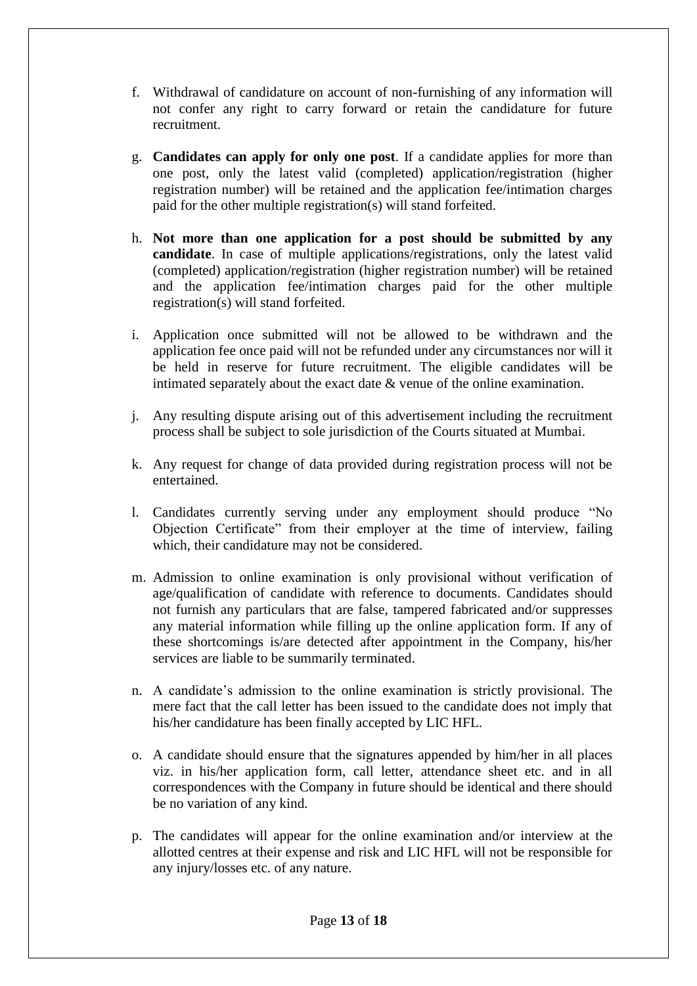- f. Withdrawal of candidature on account of non-furnishing of any information will not confer any right to carry forward or retain the candidature for future recruitment.
- g. **Candidates can apply for only one post**. If a candidate applies for more than one post, only the latest valid (completed) application/registration (higher registration number) will be retained and the application fee/intimation charges paid for the other multiple registration(s) will stand forfeited.
- h. **Not more than one application for a post should be submitted by any candidate**. In case of multiple applications/registrations, only the latest valid (completed) application/registration (higher registration number) will be retained and the application fee/intimation charges paid for the other multiple registration(s) will stand forfeited.
- i. Application once submitted will not be allowed to be withdrawn and the application fee once paid will not be refunded under any circumstances nor will it be held in reserve for future recruitment. The eligible candidates will be intimated separately about the exact date  $\&$  venue of the online examination.
- j. Any resulting dispute arising out of this advertisement including the recruitment process shall be subject to sole jurisdiction of the Courts situated at Mumbai.
- k. Any request for change of data provided during registration process will not be entertained.
- l. Candidates currently serving under any employment should produce "No Objection Certificate" from their employer at the time of interview, failing which, their candidature may not be considered.
- m. Admission to online examination is only provisional without verification of age/qualification of candidate with reference to documents. Candidates should not furnish any particulars that are false, tampered fabricated and/or suppresses any material information while filling up the online application form. If any of these shortcomings is/are detected after appointment in the Company, his/her services are liable to be summarily terminated.
- n. A candidate's admission to the online examination is strictly provisional. The mere fact that the call letter has been issued to the candidate does not imply that his/her candidature has been finally accepted by LIC HFL.
- o. A candidate should ensure that the signatures appended by him/her in all places viz. in his/her application form, call letter, attendance sheet etc. and in all correspondences with the Company in future should be identical and there should be no variation of any kind.
- p. The candidates will appear for the online examination and/or interview at the allotted centres at their expense and risk and LIC HFL will not be responsible for any injury/losses etc. of any nature.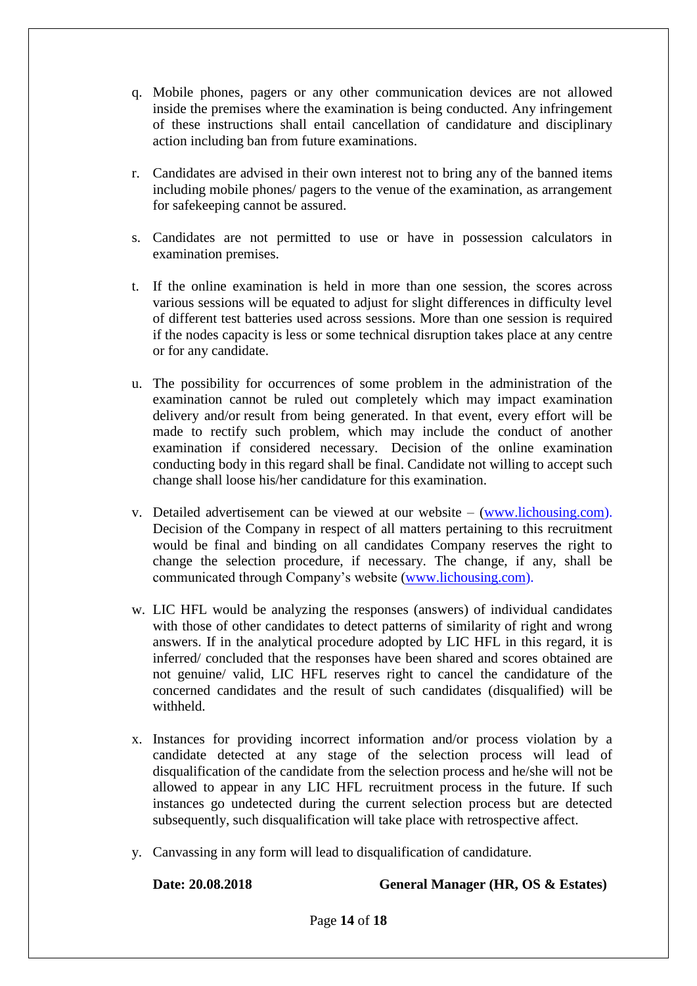- q. Mobile phones, pagers or any other communication devices are not allowed inside the premises where the examination is being conducted. Any infringement of these instructions shall entail cancellation of candidature and disciplinary action including ban from future examinations.
- r. Candidates are advised in their own interest not to bring any of the banned items including mobile phones/ pagers to the venue of the examination, as arrangement for safekeeping cannot be assured.
- s. Candidates are not permitted to use or have in possession calculators in examination premises.
- t. If the online examination is held in more than one session, the scores across various sessions will be equated to adjust for slight differences in difficulty level of different test batteries used across sessions. More than one session is required if the nodes capacity is less or some technical disruption takes place at any centre or for any candidate.
- u. The possibility for occurrences of some problem in the administration of the examination cannot be ruled out completely which may impact examination delivery and/or result from being generated. In that event, every effort will be made to rectify such problem, which may include the conduct of another examination if considered necessary. Decision of the online examination conducting body in this regard shall be final. Candidate not willing to accept such change shall loose his/her candidature for this examination.
- v. Detailed advertisement can be viewed at our website [\(www.lichousing.com\)](http://www.lichousing.com/). Decision of the Company in respect of all matters pertaining to this recruitment would be final and binding on all candidates Company reserves the right to change the selection procedure, if necessary. The change, if any, shall be communicated through Company's website [\(www.lichousing.com\)](http://www.lichousing.com/).
- w. LIC HFL would be analyzing the responses (answers) of individual candidates with those of other candidates to detect patterns of similarity of right and wrong answers. If in the analytical procedure adopted by LIC HFL in this regard, it is inferred/ concluded that the responses have been shared and scores obtained are not genuine/ valid, LIC HFL reserves right to cancel the candidature of the concerned candidates and the result of such candidates (disqualified) will be withheld.
- x. Instances for providing incorrect information and/or process violation by a candidate detected at any stage of the selection process will lead of disqualification of the candidate from the selection process and he/she will not be allowed to appear in any LIC HFL recruitment process in the future. If such instances go undetected during the current selection process but are detected subsequently, such disqualification will take place with retrospective affect.
- y. Canvassing in any form will lead to disqualification of candidature.

**Date: 20.08.2018 General Manager (HR, OS & Estates)**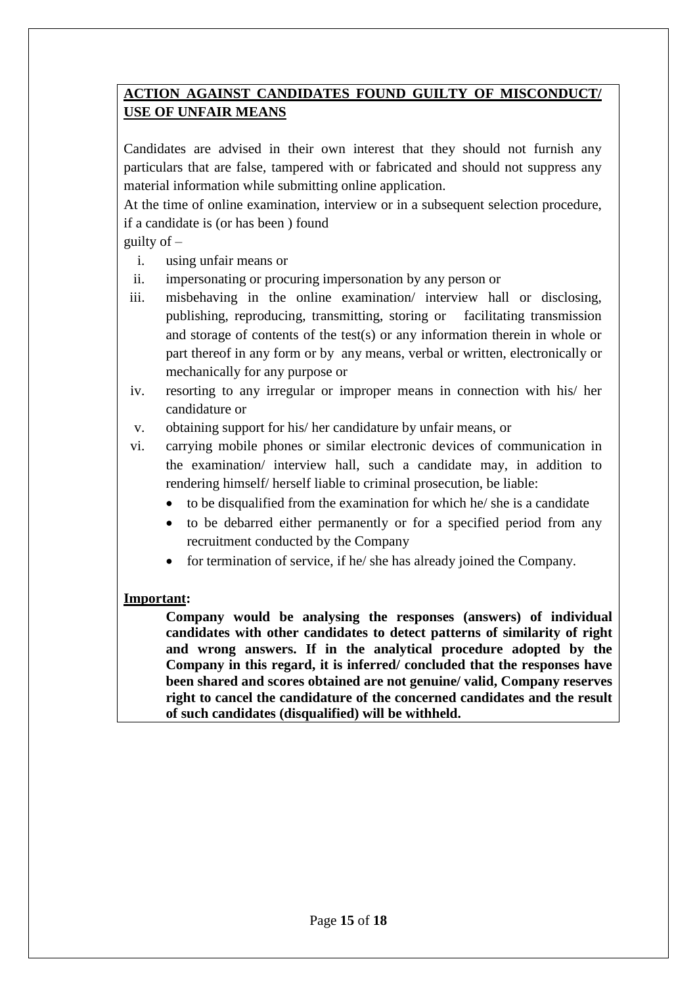# **ACTION AGAINST CANDIDATES FOUND GUILTY OF MISCONDUCT/ USE OF UNFAIR MEANS**

Candidates are advised in their own interest that they should not furnish any particulars that are false, tampered with or fabricated and should not suppress any material information while submitting online application.

At the time of online examination, interview or in a subsequent selection procedure, if a candidate is (or has been ) found

# guilty of  $-$

- i. using unfair means or
- ii. impersonating or procuring impersonation by any person or
- iii. misbehaving in the online examination/ interview hall or disclosing, publishing, reproducing, transmitting, storing or facilitating transmission and storage of contents of the test(s) or any information therein in whole or part thereof in any form or by any means, verbal or written, electronically or mechanically for any purpose or
- iv. resorting to any irregular or improper means in connection with his/ her candidature or
- v. obtaining support for his/ her candidature by unfair means, or
- vi. carrying mobile phones or similar electronic devices of communication in the examination/ interview hall, such a candidate may, in addition to rendering himself/ herself liable to criminal prosecution, be liable:
	- to be disqualified from the examination for which he/ she is a candidate
	- to be debarred either permanently or for a specified period from any recruitment conducted by the Company
	- $\bullet$  for termination of service, if he/ she has already joined the Company.

# **Important:**

**Company would be analysing the responses (answers) of individual candidates with other candidates to detect patterns of similarity of right and wrong answers. If in the analytical procedure adopted by the Company in this regard, it is inferred/ concluded that the responses have been shared and scores obtained are not genuine/ valid, Company reserves right to cancel the candidature of the concerned candidates and the result of such candidates (disqualified) will be withheld.**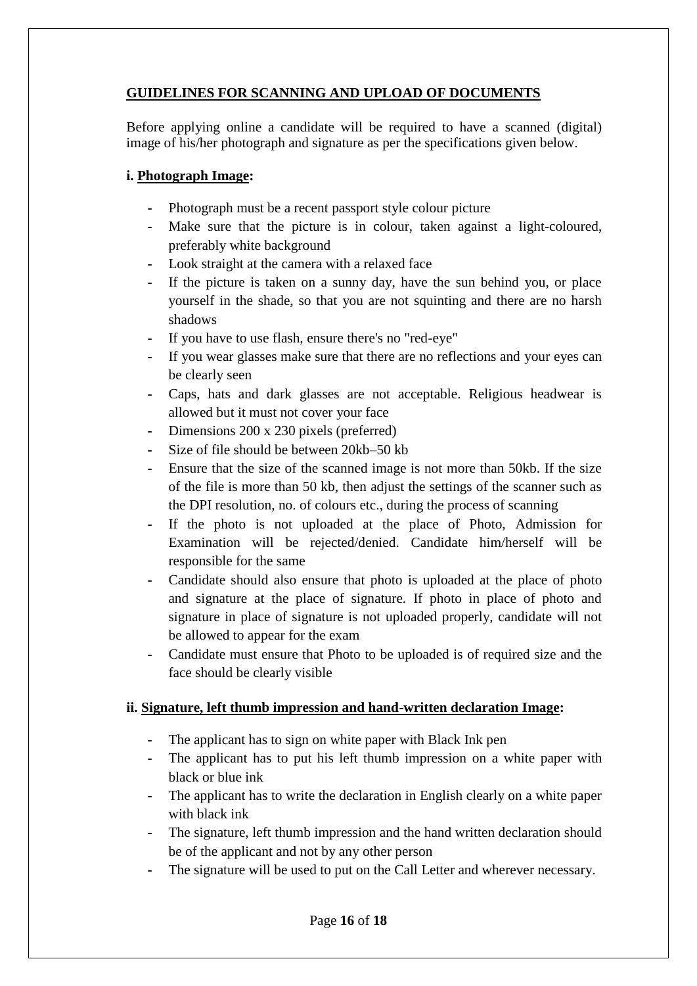# **GUIDELINES FOR SCANNING AND UPLOAD OF DOCUMENTS**

Before applying online a candidate will be required to have a scanned (digital) image of his/her photograph and signature as per the specifications given below.

# **i. Photograph Image:**

- **-** Photograph must be a recent passport style colour picture
- Make sure that the picture is in colour, taken against a light-coloured, preferably white background
- **-** Look straight at the camera with a relaxed face
- **-** If the picture is taken on a sunny day, have the sun behind you, or place yourself in the shade, so that you are not squinting and there are no harsh shadows
- **-** If you have to use flash, ensure there's no "red-eye"
- **-** If you wear glasses make sure that there are no reflections and your eyes can be clearly seen
- **-** Caps, hats and dark glasses are not acceptable. Religious headwear is allowed but it must not cover your face
- **-** Dimensions 200 x 230 pixels (preferred)
- **-** Size of file should be between 20kb–50 kb
- **-** Ensure that the size of the scanned image is not more than 50kb. If the size of the file is more than 50 kb, then adjust the settings of the scanner such as the DPI resolution, no. of colours etc., during the process of scanning
- **-** If the photo is not uploaded at the place of Photo, Admission for Examination will be rejected/denied. Candidate him/herself will be responsible for the same
- **-** Candidate should also ensure that photo is uploaded at the place of photo and signature at the place of signature. If photo in place of photo and signature in place of signature is not uploaded properly, candidate will not be allowed to appear for the exam
- **-** Candidate must ensure that Photo to be uploaded is of required size and the face should be clearly visible

# **ii. Signature, left thumb impression and hand-written declaration Image:**

- **-** The applicant has to sign on white paper with Black Ink pen
- **-** The applicant has to put his left thumb impression on a white paper with black or blue ink
- **-** The applicant has to write the declaration in English clearly on a white paper with black ink
- **-** The signature, left thumb impression and the hand written declaration should be of the applicant and not by any other person
- The signature will be used to put on the Call Letter and wherever necessary.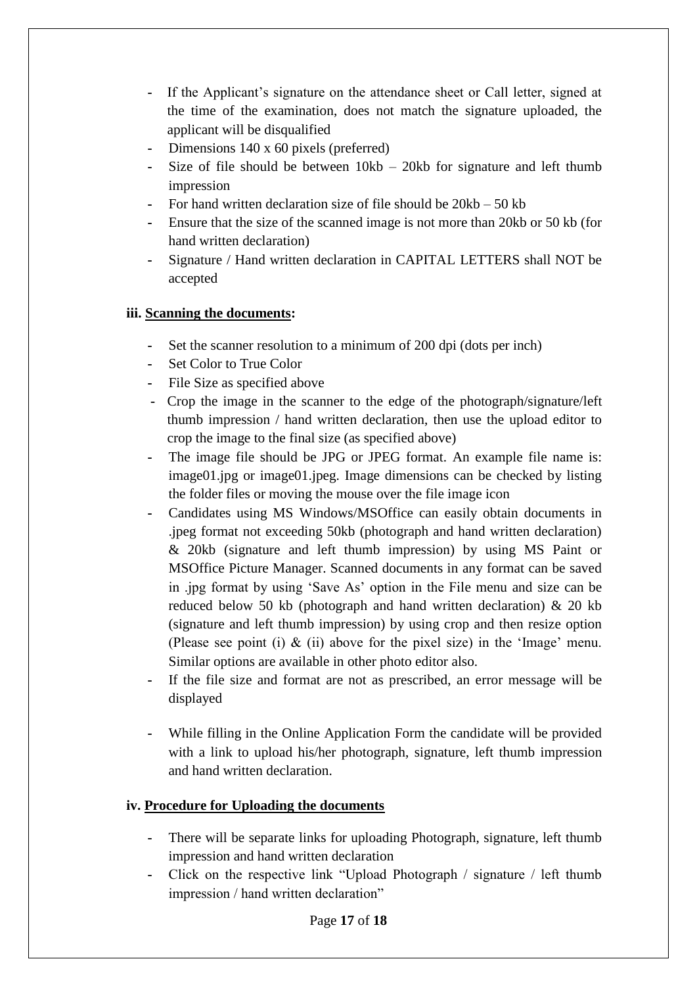- **-** If the Applicant's signature on the attendance sheet or Call letter, signed at the time of the examination, does not match the signature uploaded, the applicant will be disqualified
- **-** Dimensions 140 x 60 pixels (preferred)
- **-** Size of file should be between 10kb 20kb for signature and left thumb impression
- **-** For hand written declaration size of file should be 20kb 50 kb
- **-** Ensure that the size of the scanned image is not more than 20kb or 50 kb (for hand written declaration)
- **-** Signature / Hand written declaration in CAPITAL LETTERS shall NOT be accepted

# **iii. Scanning the documents:**

- **-** Set the scanner resolution to a minimum of 200 dpi (dots per inch)
- **-** Set Color to True Color
- **-** File Size as specified above
- **-** Crop the image in the scanner to the edge of the photograph/signature/left thumb impression / hand written declaration, then use the upload editor to crop the image to the final size (as specified above)
- **-** The image file should be JPG or JPEG format. An example file name is: image01.jpg or image01.jpeg. Image dimensions can be checked by listing the folder files or moving the mouse over the file image icon
- **-** Candidates using MS Windows/MSOffice can easily obtain documents in .jpeg format not exceeding 50kb (photograph and hand written declaration) & 20kb (signature and left thumb impression) by using MS Paint or MSOffice Picture Manager. Scanned documents in any format can be saved in .jpg format by using 'Save As' option in the File menu and size can be reduced below 50 kb (photograph and hand written declaration) & 20 kb (signature and left thumb impression) by using crop and then resize option (Please see point (i)  $\&$  (ii) above for the pixel size) in the 'Image' menu. Similar options are available in other photo editor also.
- **-** If the file size and format are not as prescribed, an error message will be displayed
- **-** While filling in the Online Application Form the candidate will be provided with a link to upload his/her photograph, signature, left thumb impression and hand written declaration.

# **iv. Procedure for Uploading the documents**

- **-** There will be separate links for uploading Photograph, signature, left thumb impression and hand written declaration
- **-** Click on the respective link "Upload Photograph / signature / left thumb impression / hand written declaration"